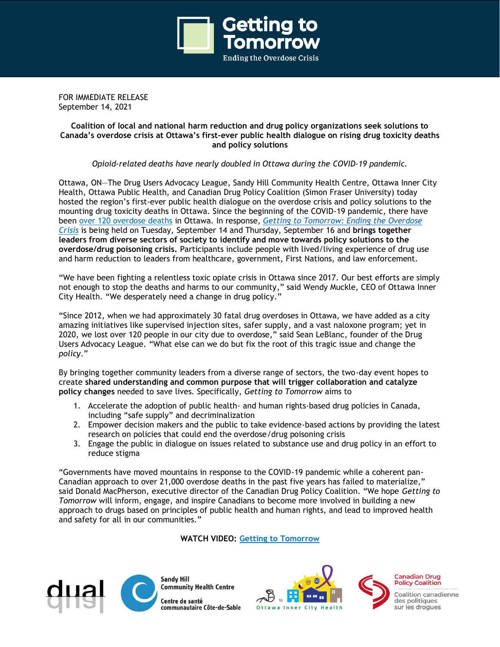

FOR IMMEDIATE RELEASE September 14, 2021

# **Coalition of local and national harm reduction and drug policy organizations seek solutions to Canada's overdose crisis at Ottawa's first-ever public health dialogue on rising drug toxicity deaths and policy solutions**

*Opioid-related deaths have nearly doubled in Ottawa during the COVID-19 pandemic.*

Ottawa, ON—The Drug Users Advocacy League, Sandy Hill Community Health Centre, Ottawa Inner City Health, Ottawa Public Health, and Canadian Drug Policy Coalition (Simon Fraser University) today hosted the region's first-ever public health dialogue on the overdose crisis and policy solutions to the mounting drug toxicity deaths in Ottawa. Since the beginning of the COVID-19 pandemic, there have been [over 120 overdose deaths](https://www.ottawapublichealth.ca/en/reports-research-and-statistics/drug-use-and-overdose-statistics.aspx) in Ottawa. In response, *[Getting to Tomorrow: Ending the Overdose](https://gettingtotomorrow.ca/)  [Crisis](https://gettingtotomorrow.ca/)* is being held on Tuesday, September 14 and Thursday, September 16 and **brings together leaders from diverse sectors of society to identify and move towards policy solutions to the overdose/drug poisoning crisis.** Participants include people with lived/living experience of drug use and harm reduction to leaders from healthcare, government, First Nations, and law enforcement.

"We have been fighting a relentless toxic opiate crisis in Ottawa since 2017. Our best efforts are simply not enough to stop the deaths and harms to our community," said Wendy Muckle, CEO of Ottawa Inner City Health. "We desperately need a change in drug policy."

"Since 2012, when we had approximately 30 fatal drug overdoses in Ottawa, we have added as a city amazing initiatives like supervised injection sites, safer supply, and a vast naloxone program; yet in 2020, we lost over 120 people in our city due to overdose," said Sean LeBlanc, founder of the Drug Users Advocacy League. "What else can we do but fix the root of this tragic issue and change the *policy*."

By bringing together community leaders from a diverse range of sectors, the two-day event hopes to create **shared understanding and common purpose that will trigger collaboration and catalyze policy changes** needed to save lives. Specifically, *Getting to Tomorrow* aims to

- 1. Accelerate the adoption of public health- and human rights-based drug policies in Canada, including "safe supply" and decriminalization
- 2. Empower decision makers and the public to take evidence-based actions by providing the latest research on policies that could end the overdose/drug poisoning crisis
- 3. Engage the public in dialogue on issues related to substance use and drug policy in an effort to reduce stigma

"Governments have moved mountains in response to the COVID-19 pandemic while a coherent pan-Canadian approach to over 21,000 overdose deaths in the past five years has failed to materialize," said Donald MacPherson, executive director of the Canadian Drug Policy Coalition. "We hope *Getting to Tomorrow* will inform, engage, and inspire Canadians to become more involved in building a new approach to drugs based on principles of public health and human rights, and lead to improved health and safety for all in our communities."

**WATCH VIDEO: [Getting to Tomorrow](https://gettingtotomorrow.ca/2021/04/13/getting-to-tomorrow-ending-the-overdose-crisis/)**



**Sandy Hill Community Health Centre** Centre de santé

communautaire Côte-de-Sable





**Policy Coalition** Coalition canadienne

des politiques sur les droques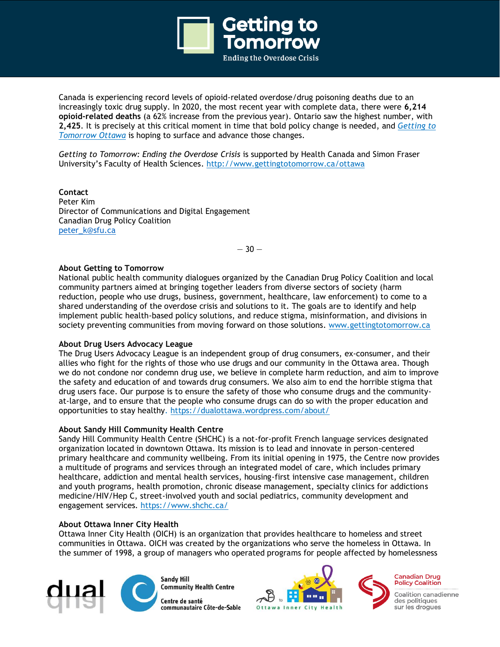

Canada is experiencing record levels of opioid-related overdose/drug poisoning deaths due to an increasingly toxic drug supply. In 2020, the most recent year with complete data, there were **6,214 opioid-related deaths** (a 62% increase from the previous year). Ontario saw the highest number, with **2,425**. It is precisely at this critical moment in time that bold policy change is needed, and *[Getting to](https://gettingtotomorrow.ca/communities/locations/ottawa/)  [Tomorrow Ottawa](https://gettingtotomorrow.ca/communities/locations/ottawa/)* is hoping to surface and advance those changes.

*Getting to Tomorrow: Ending the Overdose Crisis* is supported by Health Canada and Simon Fraser University's Faculty of Health Sciences[. http://www.gettingtotomorrow.ca/ottawa](http://www.gettingtotomorrow.ca/ottawa)

**Contact** Peter Kim Director of Communications and Digital Engagement Canadian Drug Policy Coalition peter\_k@sfu.ca

 $-30-$ 

### **About Getting to Tomorrow**

National public health community dialogues organized by the Canadian Drug Policy Coalition and local community partners aimed at bringing together leaders from diverse sectors of society (harm reduction, people who use drugs, business, government, healthcare, law enforcement) to come to a shared understanding of the overdose crisis and solutions to it. The goals are to identify and help implement public health-based policy solutions, and reduce stigma, misinformation, and divisions in society preventing communities from moving forward on those solutions. [www.gettingtotomorrow.ca](http://www.gettingtotomorrow.ca/)

### **About Drug Users Advocacy League**

The Drug Users Advocacy League is an independent group of drug consumers, ex-consumer, and their allies who fight for the rights of those who use drugs and our community in the Ottawa area. Though we do not condone nor condemn drug use, we believe in complete harm reduction, and aim to improve the safety and education of and towards drug consumers. We also aim to end the horrible stigma that drug users face. Our purpose is to ensure the safety of those who consume drugs and the communityat-large, and to ensure that the people who consume drugs can do so with the proper education and opportunities to stay healthy. <https://dualottawa.wordpress.com/about/>

### **About Sandy Hill Community Health Centre**

Sandy Hill Community Health Centre (SHCHC) is a not-for-profit French language services designated organization located in downtown Ottawa. Its mission is to lead and innovate in person-centered primary healthcare and community wellbeing. From its initial opening in 1975, the Centre now provides a multitude of programs and services through an integrated model of care, which includes primary healthcare, addiction and mental health services, housing-first intensive case management, children and youth programs, health promotion, chronic disease management, specialty clinics for addictions medicine/HIV/Hep C, street-involved youth and social pediatrics, community development and engagement services. <https://www.shchc.ca/>

### **About Ottawa Inner City Health**

Ottawa Inner City Health (OICH) is an organization that provides healthcare to homeless and street communities in Ottawa. OICH was created by the organizations who serve the homeless in Ottawa. In the summer of 1998, a group of managers who operated programs for people affected by homelessness



**Sandy Hill Community Health Centre** Centre de santé communautaire Côte-de-Sable





**Canadian Drug Policy Coalition** 

Coalition canadienne des politiques sur les droques